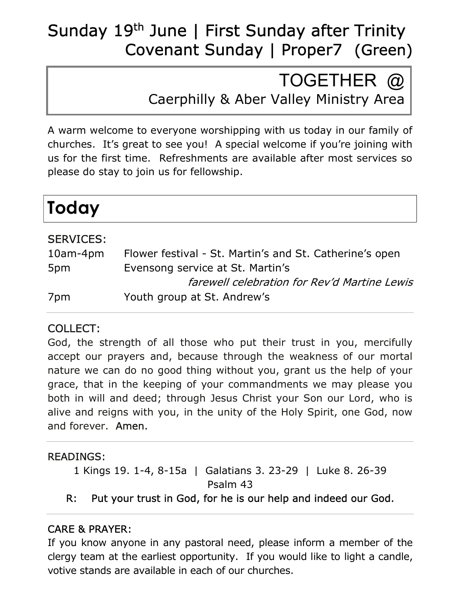## Sunday 19<sup>th</sup> June | First Sunday after Trinity Covenant Sunday | Proper7 (Green)

# TOGETHER @

Caerphilly & Aber Valley Ministry Area

A warm welcome to everyone worshipping with us today in our family of churches. It's great to see you! A special welcome if you're joining with us for the first time. Refreshments are available after most services so please do stay to join us for fellowship.

| <b>Today</b> |  |
|--------------|--|
|--------------|--|

L Ξ

### SERVICES:

| $10$ am-4 $pm$ | Flower festival - St. Martin's and St. Catherine's open |
|----------------|---------------------------------------------------------|
| 5pm            | Evensong service at St. Martin's                        |
|                | farewell celebration for Rev'd Martine Lewis            |
| 7pm            | Youth group at St. Andrew's                             |

### COLLECT:

God, the strength of all those who put their trust in you, mercifully accept our prayers and, because through the weakness of our mortal nature we can do no good thing without you, grant us the help of your grace, that in the keeping of your commandments we may please you both in will and deed; through Jesus Christ your Son our Lord, who is alive and reigns with you, in the unity of the Holy Spirit, one God, now and forever. Amen.

#### READINGS:

1 Kings 19. 1-4, 8-15a | Galatians 3. 23-29 | Luke 8. 26-39 Psalm 43

R: Put your trust in God, for he is our help and indeed our God.

### CARE & PRAYER:

If you know anyone in any pastoral need, please inform a member of the clergy team at the earliest opportunity. If you would like to light a candle, votive stands are available in each of our churches.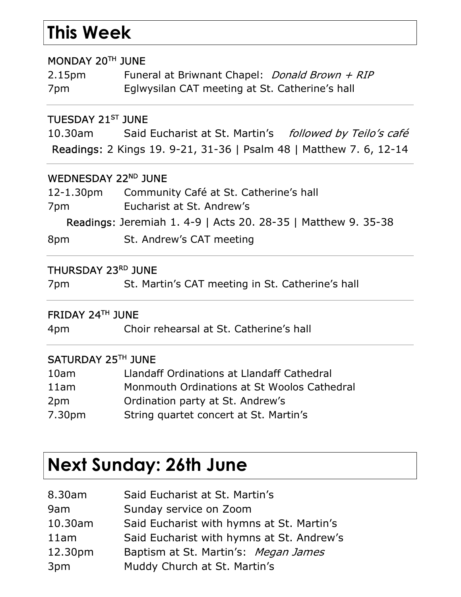# This Week

#### MONDAY 20TH JUNE

2.15pm Funeral at Briwnant Chapel: *Donald Brown + RIP* 7pm Eglwysilan CAT meeting at St. Catherine's hall

#### TUESDAY 21ST JUNE

10.30am Said Eucharist at St. Martin's followed by Teilo's café Readings: 2 Kings 19. 9-21, 31-36 | Psalm 48 | Matthew 7. 6, 12-14

#### WEDNESDAY 22<sup>ND</sup> JUNE

| 12-1.30pm | Community Café at St. Catherine's hall                            |
|-----------|-------------------------------------------------------------------|
| 7pm       | Eucharist at St. Andrew's                                         |
|           | <b>Readings: Jeremiah 1.4-9   Acts 20.28-35   Matthew 9.35-38</b> |
| 8pm       | St. Andrew's CAT meeting                                          |

#### THURSDAY 23RD JUNE

7pm St. Martin's CAT meeting in St. Catherine's hall

#### FRIDAY 24TH JUNE

4pm Choir rehearsal at St. Catherine's hall

#### SATURDAY 25TH JUNE

| 10am               | Llandaff Ordinations at Llandaff Cathedral  |
|--------------------|---------------------------------------------|
| 11am               | Monmouth Ordinations at St Woolos Cathedral |
| 2pm                | Ordination party at St. Andrew's            |
| 7.30 <sub>pm</sub> | String quartet concert at St. Martin's      |

## Next Sunday: 26th June

| 8.30am  | Said Eucharist at St. Martin's            |
|---------|-------------------------------------------|
| 9am     | Sunday service on Zoom                    |
| 10.30am | Said Eucharist with hymns at St. Martin's |
| 11am    | Said Eucharist with hymns at St. Andrew's |
| 12.30pm | Baptism at St. Martin's: Megan James      |
| 3pm     | Muddy Church at St. Martin's              |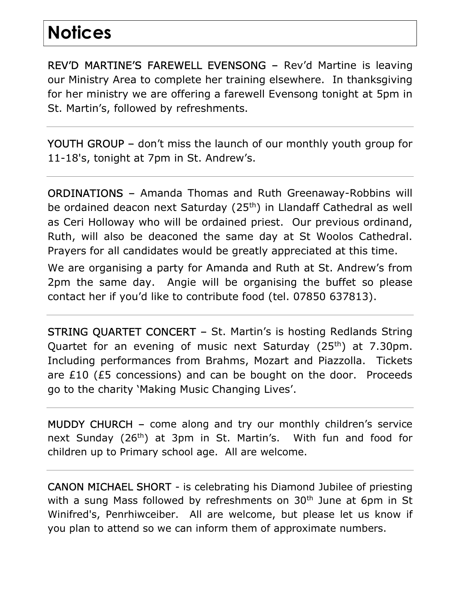# **Notices**

REV'D MARTINE'S FAREWELL EVENSONG – Rev'd Martine is leaving our Ministry Area to complete her training elsewhere. In thanksgiving for her ministry we are offering a farewell Evensong tonight at 5pm in St. Martin's, followed by refreshments.

YOUTH GROUP – don't miss the launch of our monthly youth group for 11-18's, tonight at 7pm in St. Andrew's.

ORDINATIONS – Amanda Thomas and Ruth Greenaway-Robbins will be ordained deacon next Saturday (25<sup>th</sup>) in Llandaff Cathedral as well as Ceri Holloway who will be ordained priest. Our previous ordinand, Ruth, will also be deaconed the same day at St Woolos Cathedral. Prayers for all candidates would be greatly appreciated at this time.

We are organising a party for Amanda and Ruth at St. Andrew's from 2pm the same day. Angie will be organising the buffet so please contact her if you'd like to contribute food (tel. 07850 637813).

STRING QUARTET CONCERT – St. Martin's is hosting Redlands String Quartet for an evening of music next Saturday (25<sup>th</sup>) at 7.30pm. Including performances from Brahms, Mozart and Piazzolla. Tickets are £10 (£5 concessions) and can be bought on the door. Proceeds go to the charity 'Making Music Changing Lives'.

MUDDY CHURCH – come along and try our monthly children's service next Sunday (26<sup>th</sup>) at 3pm in St. Martin's. With fun and food for children up to Primary school age. All are welcome.

CANON MICHAEL SHORT - is celebrating his Diamond Jubilee of priesting with a sung Mass followed by refreshments on  $30<sup>th</sup>$  June at 6pm in St Winifred's, Penrhiwceiber. All are welcome, but please let us know if you plan to attend so we can inform them of approximate numbers.